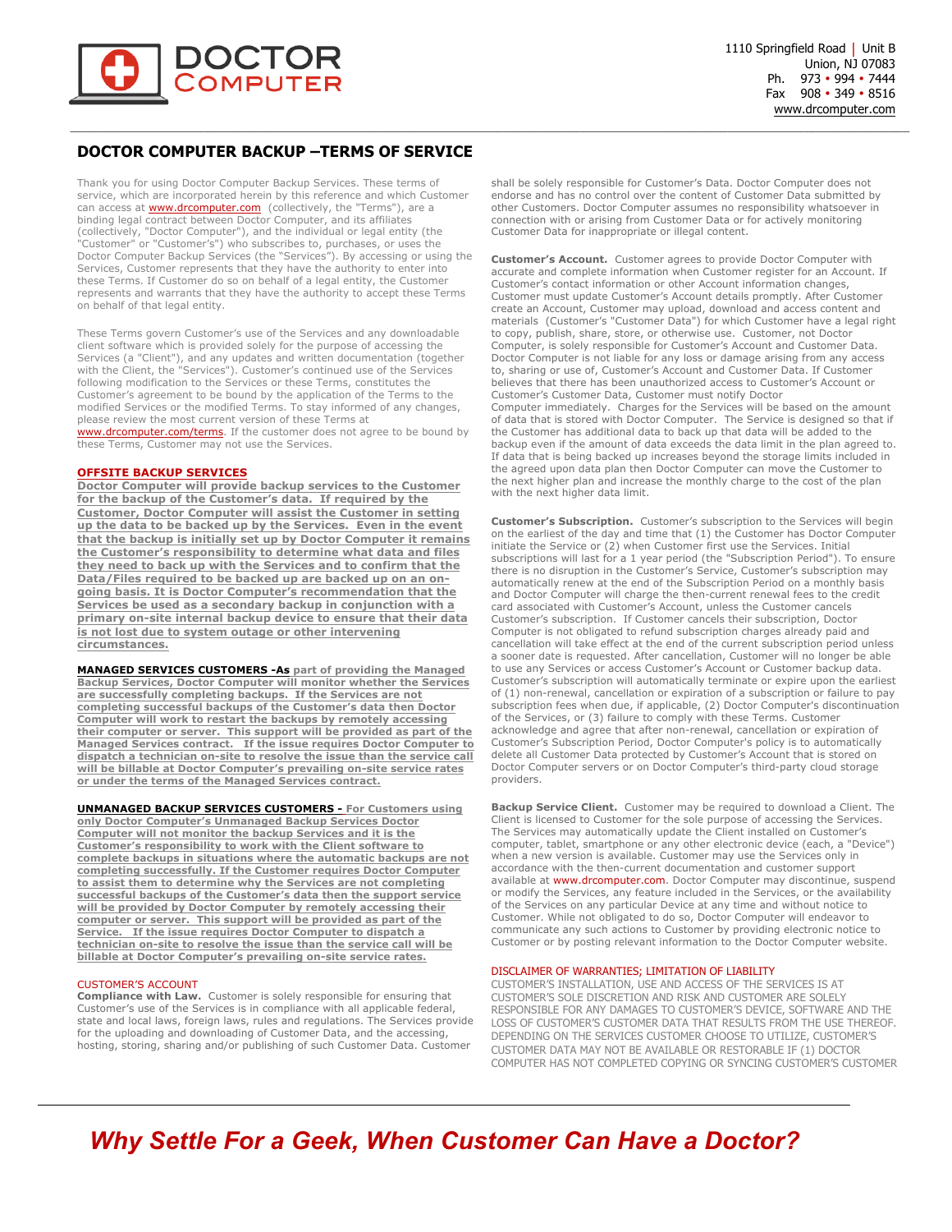

### **DOCTOR COMPUTER BACKUP –TERMS OF SERVICE**

Thank you for using Doctor Computer Backup Services. These terms of service, which are incorporated herein by this reference and which Customer can access at **www.drcomputer.com** (collectively, the "Terms"), are a binding legal contract between Doctor Computer, and its affiliates (collectively, "Doctor Computer"), and the individual or legal entity (the "Customer" or "Customer's") who subscribes to, purchases, or uses the Doctor Computer Backup Services (the "Services"). By accessing or using the Services, Customer represents that they have the authority to enter into these Terms. If Customer do so on behalf of a legal entity, the Customer represents and warrants that they have the authority to accept these Terms on behalf of that legal entity.

These Terms govern Customer's use of the Services and any downloadable client software which is provided solely for the purpose of accessing the Services (a "Client"), and any updates and written documentation (together with the Client, the "Services"). Customer's continued use of the Services following modification to the Services or these Terms, constitutes the Customer's agreement to be bound by the application of the Terms to the modified Services or the modified Terms. To stay informed of any changes, please review the most current version of these Terms at www.drcomputer.com/terms. If the customer does not agree to be bound by these Terms, Customer may not use the Services.

#### **OFFSITE BACKUP SERVICES**

**Doctor Computer will provide backup services to the Customer for the backup of the Customer's data. If required by the Customer, Doctor Computer will assist the Customer in setting up the data to be backed up by the Services. Even in the event that the backup is initially set up by Doctor Computer it remains the Customer's responsibility to determine what data and files they need to back up with the Services and to confirm that the Data/Files required to be backed up are backed up on an ongoing basis. It is Doctor Computer's recommendation that the Services be used as a secondary backup in conjunction with a primary on-site internal backup device to ensure that their data is not lost due to system outage or other intervening circumstances.** 

**MANAGED SERVICES CUSTOMERS -As part of providing the Managed Backup Services, Doctor Computer will monitor whether the Services are successfully completing backups. If the Services are not completing successful backups of the Customer's data then Doctor Computer will work to restart the backups by remotely accessing their computer or server. This support will be provided as part of the Managed Services contract. If the issue requires Doctor Computer to dispatch a technician on-site to resolve the issue than the service call will be billable at Doctor Computer's prevailing on-site service rates or under the terms of the Managed Services contract.** 

**UNMANAGED BACKUP SERVICES CUSTOMERS - For Customers using only Doctor Computer's Unmanaged Backup Services Doctor Computer will not monitor the backup Services and it is the Customer's responsibility to work with the Client software to complete backups in situations where the automatic backups are not completing successfully. If the Customer requires Doctor Computer to assist them to determine why the Services are not completing successful backups of the Customer's data then the support service will be provided by Doctor Computer by remotely accessing their computer or server. This support will be provided as part of the Service. If the issue requires Doctor Computer to dispatch a technician on-site to resolve the issue than the service call will be billable at Doctor Computer's prevailing on-site service rates.**

#### CUSTOMER'S ACCOUNT

**Compliance with Law.** Customer is solely responsible for ensuring that Customer's use of the Services is in compliance with all applicable federal, state and local laws, foreign laws, rules and regulations. The Services provide for the uploading and downloading of Customer Data, and the accessing, hosting, storing, sharing and/or publishing of such Customer Data. Customer

shall be solely responsible for Customer's Data. Doctor Computer does not endorse and has no control over the content of Customer Data submitted by other Customers. Doctor Computer assumes no responsibility whatsoever in connection with or arising from Customer Data or for actively monitoring Customer Data for inappropriate or illegal content.

**Customer's Account.** Customer agrees to provide Doctor Computer with accurate and complete information when Customer register for an Account. If Customer's contact information or other Account information changes, Customer must update Customer's Account details promptly. After Customer create an Account, Customer may upload, download and access content and materials (Customer's "Customer Data") for which Customer have a legal right to copy, publish, share, store, or otherwise use. Customer, not Doctor Computer, is solely responsible for Customer's Account and Customer Data. Doctor Computer is not liable for any loss or damage arising from any access to, sharing or use of, Customer's Account and Customer Data. If Customer believes that there has been unauthorized access to Customer's Account or Customer's Customer Data, Customer must notify Doctor Computer immediately. Charges for the Services will be based on the amount of data that is stored with Doctor Computer. The Service is designed so that if the Customer has additional data to back up that data will be added to the backup even if the amount of data exceeds the data limit in the plan agreed to. If data that is being backed up increases beyond the storage limits included in the agreed upon data plan then Doctor Computer can move the Customer to the next higher plan and increase the monthly charge to the cost of the plan with the next higher data limit.

**Customer's Subscription.** Customer's subscription to the Services will begin on the earliest of the day and time that (1) the Customer has Doctor Computer initiate the Service or (2) when Customer first use the Services. Initial subscriptions will last for a 1 year period (the "Subscription Period"). To ensure there is no disruption in the Customer's Service, Customer's subscription may automatically renew at the end of the Subscription Period on a monthly basis and Doctor Computer will charge the then-current renewal fees to the credit card associated with Customer's Account, unless the Customer cancels Customer's subscription. If Customer cancels their subscription, Doctor Computer is not obligated to refund subscription charges already paid and cancellation will take effect at the end of the current subscription period unless a sooner date is requested. After cancellation, Customer will no longer be able to use any Services or access Customer's Account or Customer backup data. Customer's subscription will automatically terminate or expire upon the earliest of (1) non-renewal, cancellation or expiration of a subscription or failure to pay subscription fees when due, if applicable, (2) Doctor Computer's discontinuation of the Services, or (3) failure to comply with these Terms. Customer acknowledge and agree that after non-renewal, cancellation or expiration of Customer's Subscription Period, Doctor Computer's policy is to automatically delete all Customer Data protected by Customer's Account that is stored on Doctor Computer servers or on Doctor Computer's third-party cloud storage providers.

**Backup Service Client.** Customer may be required to download a Client. The Client is licensed to Customer for the sole purpose of accessing the Services. The Services may automatically update the Client installed on Customer's computer, tablet, smartphone or any other electronic device (each, a "Device") when a new version is available. Customer may use the Services only in accordance with the then-current documentation and customer support available at www.drcomputer.com. Doctor Computer may discontinue, suspend or modify the Services, any feature included in the Services, or the availability of the Services on any particular Device at any time and without notice to Customer. While not obligated to do so, Doctor Computer will endeavor to communicate any such actions to Customer by providing electronic notice to Customer or by posting relevant information to the Doctor Computer website.

#### DISCLAIMER OF WARRANTIES; LIMITATION OF LIABILITY

CUSTOMER'S INSTALLATION, USE AND ACCESS OF THE SERVICES IS AT CUSTOMER'S SOLE DISCRETION AND RISK AND CUSTOMER ARE SOLELY RESPONSIBLE FOR ANY DAMAGES TO CUSTOMER'S DEVICE, SOFTWARE AND THE LOSS OF CUSTOMER'S CUSTOMER DATA THAT RESULTS FROM THE USE THEREOF. DEPENDING ON THE SERVICES CUSTOMER CHOOSE TO UTILIZE, CUSTOMER'S CUSTOMER DATA MAY NOT BE AVAILABLE OR RESTORABLE IF (1) DOCTOR COMPUTER HAS NOT COMPLETED COPYING OR SYNCING CUSTOMER'S CUSTOMER

# *Why Settle For a Geek, When Customer Can Have a Doctor?*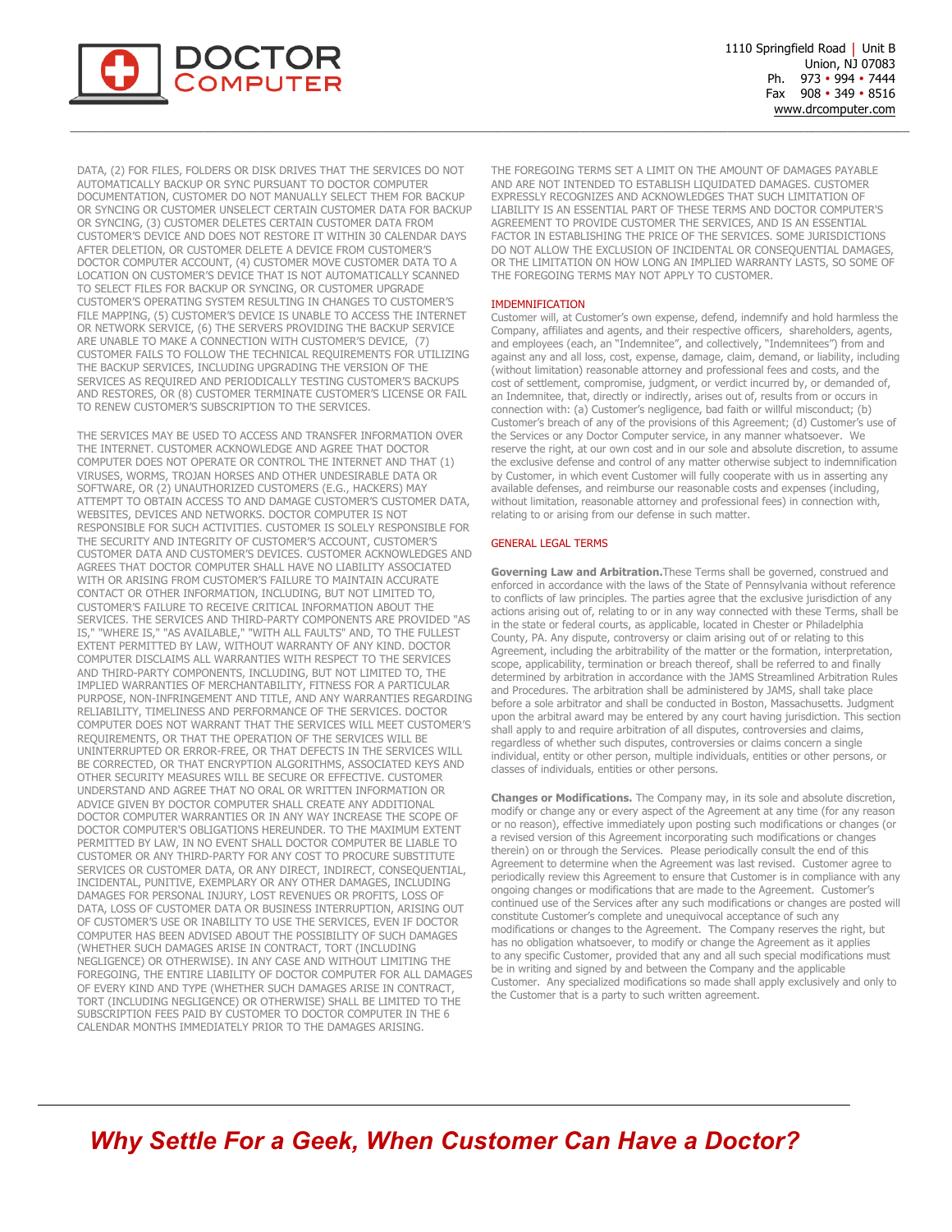

1110 Springfield Road | Unit B Union, NJ 07083 Ph. 973 • 994 • 7444 Fax 908 • 349 • 8516 www.drcomputer.com

DATA, (2) FOR FILES, FOLDERS OR DISK DRIVES THAT THE SERVICES DO NOT AUTOMATICALLY BACKUP OR SYNC PURSUANT TO DOCTOR COMPUTER DOCUMENTATION, CUSTOMER DO NOT MANUALLY SELECT THEM FOR BACKUP OR SYNCING OR CUSTOMER UNSELECT CERTAIN CUSTOMER DATA FOR BACKUP OR SYNCING, (3) CUSTOMER DELETES CERTAIN CUSTOMER DATA FROM CUSTOMER'S DEVICE AND DOES NOT RESTORE IT WITHIN 30 CALENDAR DAYS AFTER DELETION, OR CUSTOMER DELETE A DEVICE FROM CUSTOMER'S DOCTOR COMPUTER ACCOUNT, (4) CUSTOMER MOVE CUSTOMER DATA TO A LOCATION ON CUSTOMER'S DEVICE THAT IS NOT AUTOMATICALLY SCANNED TO SELECT FILES FOR BACKUP OR SYNCING, OR CUSTOMER UPGRADE CUSTOMER'S OPERATING SYSTEM RESULTING IN CHANGES TO CUSTOMER'S FILE MAPPING, (5) CUSTOMER'S DEVICE IS UNABLE TO ACCESS THE INTERNET OR NETWORK SERVICE, (6) THE SERVERS PROVIDING THE BACKUP SERVICE ARE UNABLE TO MAKE A CONNECTION WITH CUSTOMER'S DEVICE, (7) CUSTOMER FAILS TO FOLLOW THE TECHNICAL REQUIREMENTS FOR UTILIZING THE BACKUP SERVICES, INCLUDING UPGRADING THE VERSION OF THE SERVICES AS REQUIRED AND PERIODICALLY TESTING CUSTOMER'S BACKUPS AND RESTORES, OR (8) CUSTOMER TERMINATE CUSTOMER'S LICENSE OR FAIL TO RENEW CUSTOMER'S SUBSCRIPTION TO THE SERVICES.

THE SERVICES MAY BE USED TO ACCESS AND TRANSFER INFORMATION OVER THE INTERNET. CUSTOMER ACKNOWLEDGE AND AGREE THAT DOCTOR COMPUTER DOES NOT OPERATE OR CONTROL THE INTERNET AND THAT (1) VIRUSES, WORMS, TROJAN HORSES AND OTHER UNDESIRABLE DATA OR SOFTWARE, OR (2) UNAUTHORIZED CUSTOMERS (E.G., HACKERS) MAY ATTEMPT TO OBTAIN ACCESS TO AND DAMAGE CUSTOMER'S CUSTOMER DATA, WEBSITES, DEVICES AND NETWORKS. DOCTOR COMPUTER IS NOT RESPONSIBLE FOR SUCH ACTIVITIES. CUSTOMER IS SOLELY RESPONSIBLE FOR THE SECURITY AND INTEGRITY OF CUSTOMER'S ACCOUNT, CUSTOMER'S CUSTOMER DATA AND CUSTOMER'S DEVICES. CUSTOMER ACKNOWLEDGES AND AGREES THAT DOCTOR COMPUTER SHALL HAVE NO LIABILITY ASSOCIATED WITH OR ARISING FROM CUSTOMER'S FAILURE TO MAINTAIN ACCURATE CONTACT OR OTHER INFORMATION, INCLUDING, BUT NOT LIMITED TO, CUSTOMER'S FAILURE TO RECEIVE CRITICAL INFORMATION ABOUT THE SERVICES. THE SERVICES AND THIRD-PARTY COMPONENTS ARE PROVIDED "AS IS," "WHERE IS," "AS AVAILABLE," "WITH ALL FAULTS" AND, TO THE FULLEST EXTENT PERMITTED BY LAW, WITHOUT WARRANTY OF ANY KIND. DOCTOR COMPUTER DISCLAIMS ALL WARRANTIES WITH RESPECT TO THE SERVICES AND THIRD-PARTY COMPONENTS, INCLUDING, BUT NOT LIMITED TO, THE IMPLIED WARRANTIES OF MERCHANTABILITY, FITNESS FOR A PARTICULAR PURPOSE, NON-INFRINGEMENT AND TITLE, AND ANY WARRANTIES REGARDING RELIABILITY, TIMELINESS AND PERFORMANCE OF THE SERVICES. DOCTOR COMPUTER DOES NOT WARRANT THAT THE SERVICES WILL MEET CUSTOMER'S REQUIREMENTS, OR THAT THE OPERATION OF THE SERVICES WILL BE UNINTERRUPTED OR ERROR-FREE, OR THAT DEFECTS IN THE SERVICES WILL BE CORRECTED, OR THAT ENCRYPTION ALGORITHMS, ASSOCIATED KEYS AND OTHER SECURITY MEASURES WILL BE SECURE OR EFFECTIVE. CUSTOMER UNDERSTAND AND AGREE THAT NO ORAL OR WRITTEN INFORMATION OR ADVICE GIVEN BY DOCTOR COMPUTER SHALL CREATE ANY ADDITIONAL DOCTOR COMPUTER WARRANTIES OR IN ANY WAY INCREASE THE SCOPE OF DOCTOR COMPUTER'S OBLIGATIONS HEREUNDER. TO THE MAXIMUM EXTENT PERMITTED BY LAW, IN NO EVENT SHALL DOCTOR COMPUTER BE LIABLE TO CUSTOMER OR ANY THIRD-PARTY FOR ANY COST TO PROCURE SUBSTITUTE SERVICES OR CUSTOMER DATA, OR ANY DIRECT, INDIRECT, CONSEQUENTIAL, INCIDENTAL, PUNITIVE, EXEMPLARY OR ANY OTHER DAMAGES, INCLUDING DAMAGES FOR PERSONAL INJURY, LOST REVENUES OR PROFITS, LOSS OF DATA, LOSS OF CUSTOMER DATA OR BUSINESS INTERRUPTION, ARISING OUT OF CUSTOMER'S USE OR INABILITY TO USE THE SERVICES, EVEN IF DOCTOR COMPUTER HAS BEEN ADVISED ABOUT THE POSSIBILITY OF SUCH DAMAGES (WHETHER SUCH DAMAGES ARISE IN CONTRACT, TORT (INCLUDING NEGLIGENCE) OR OTHERWISE). IN ANY CASE AND WITHOUT LIMITING THE FOREGOING, THE ENTIRE LIABILITY OF DOCTOR COMPUTER FOR ALL DAMAGES OF EVERY KIND AND TYPE (WHETHER SUCH DAMAGES ARISE IN CONTRACT, TORT (INCLUDING NEGLIGENCE) OR OTHERWISE) SHALL BE LIMITED TO THE SUBSCRIPTION FEES PAID BY CUSTOMER TO DOCTOR COMPUTER IN THE 6 CALENDAR MONTHS IMMEDIATELY PRIOR TO THE DAMAGES ARISING.

THE FOREGOING TERMS SET A LIMIT ON THE AMOUNT OF DAMAGES PAYABLE AND ARE NOT INTENDED TO ESTABLISH LIQUIDATED DAMAGES. CUSTOMER EXPRESSLY RECOGNIZES AND ACKNOWLEDGES THAT SUCH LIMITATION OF LIABILITY IS AN ESSENTIAL PART OF THESE TERMS AND DOCTOR COMPUTER'S AGREEMENT TO PROVIDE CUSTOMER THE SERVICES, AND IS AN ESSENTIAL FACTOR IN ESTABLISHING THE PRICE OF THE SERVICES. SOME JURISDICTIONS DO NOT ALLOW THE EXCLUSION OF INCIDENTAL OR CONSEQUENTIAL DAMAGES, OR THE LIMITATION ON HOW LONG AN IMPLIED WARRANTY LASTS, SO SOME OF THE FOREGOING TERMS MAY NOT APPLY TO CUSTOMER.

#### IMDEMNIFICATION

Customer will, at Customer's own expense, defend, indemnify and hold harmless the Company, affiliates and agents, and their respective officers, shareholders, agents, and employees (each, an "Indemnitee", and collectively, "Indemnitees") from and against any and all loss, cost, expense, damage, claim, demand, or liability, including (without limitation) reasonable attorney and professional fees and costs, and the cost of settlement, compromise, judgment, or verdict incurred by, or demanded of, an Indemnitee, that, directly or indirectly, arises out of, results from or occurs in connection with: (a) Customer's negligence, bad faith or willful misconduct; (b) Customer's breach of any of the provisions of this Agreement; (d) Customer's use of the Services or any Doctor Computer service, in any manner whatsoever. We reserve the right, at our own cost and in our sole and absolute discretion, to assume the exclusive defense and control of any matter otherwise subject to indemnification by Customer, in which event Customer will fully cooperate with us in asserting any available defenses, and reimburse our reasonable costs and expenses (including, without limitation, reasonable attorney and professional fees) in connection with, relating to or arising from our defense in such matter.

#### GENERAL LEGAL TERMS

**Governing Law and Arbitration.**These Terms shall be governed, construed and enforced in accordance with the laws of the State of Pennsylvania without reference to conflicts of law principles. The parties agree that the exclusive jurisdiction of any actions arising out of, relating to or in any way connected with these Terms, shall be in the state or federal courts, as applicable, located in Chester or Philadelphia County, PA. Any dispute, controversy or claim arising out of or relating to this Agreement, including the arbitrability of the matter or the formation, interpretation, scope, applicability, termination or breach thereof, shall be referred to and finally determined by arbitration in accordance with the JAMS Streamlined Arbitration Rules and Procedures. The arbitration shall be administered by JAMS, shall take place before a sole arbitrator and shall be conducted in Boston, Massachusetts. Judgment upon the arbitral award may be entered by any court having jurisdiction. This section shall apply to and require arbitration of all disputes, controversies and claims, regardless of whether such disputes, controversies or claims concern a single individual, entity or other person, multiple individuals, entities or other persons, or classes of individuals, entities or other persons.

**Changes or Modifications.** The Company may, in its sole and absolute discretion, modify or change any or every aspect of the Agreement at any time (for any reason or no reason), effective immediately upon posting such modifications or changes (or a revised version of this Agreement incorporating such modifications or changes therein) on or through the Services. Please periodically consult the end of this Agreement to determine when the Agreement was last revised. Customer agree to periodically review this Agreement to ensure that Customer is in compliance with any ongoing changes or modifications that are made to the Agreement. Customer's continued use of the Services after any such modifications or changes are posted will constitute Customer's complete and unequivocal acceptance of such any modifications or changes to the Agreement. The Company reserves the right, but has no obligation whatsoever, to modify or change the Agreement as it applies to any specific Customer, provided that any and all such special modifications must be in writing and signed by and between the Company and the applicable Customer. Any specialized modifications so made shall apply exclusively and only to the Customer that is a party to such written agreement.

## *Why Settle For a Geek, When Customer Can Have a Doctor?*